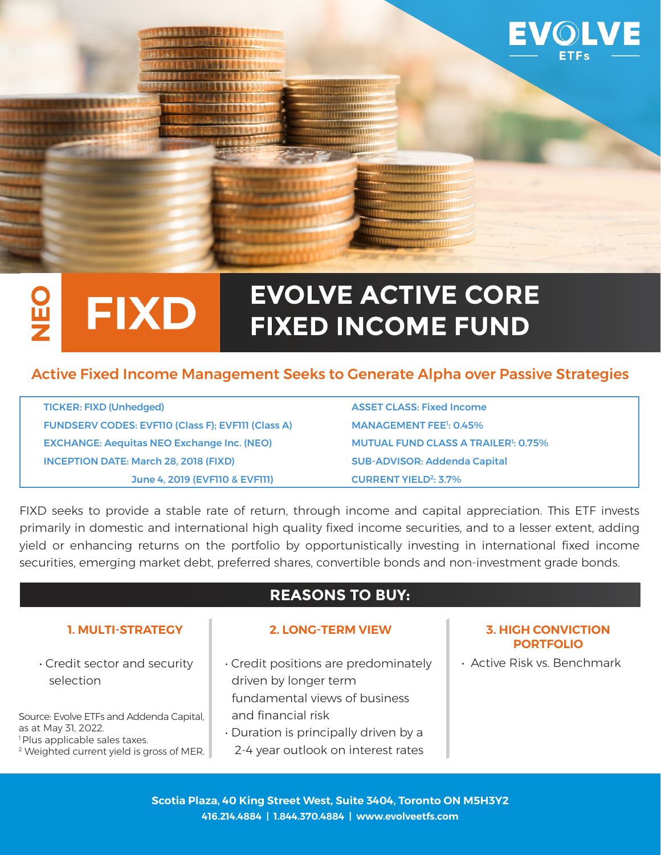

### **EVOLVE ACTIVE CORE FIXD** Ľ **FIXED INCOME FUND**

## Active Fixed Income Management Seeks to Generate Alpha over Passive Strategies

| <b>TICKER: FIXD (Unhedged)</b>                            | <b>ASSET CLASS: Fixed Income</b>                      |
|-----------------------------------------------------------|-------------------------------------------------------|
| <b>FUNDSERV CODES: EVFIIO (Class F); EVFIII (Class A)</b> | <b>MANAGEMENT FEE<sup>1</sup>: 0.45%</b>              |
| <b>EXCHANGE: Aequitas NEO Exchange Inc. (NEO)</b>         | <b>MUTUAL FUND CLASS A TRAILER<sup>1</sup>: 0.75%</b> |
| <b>INCEPTION DATE: March 28, 2018 (FIXD)</b>              | <b>SUB-ADVISOR: Addenda Capital</b>                   |
| June 4, 2019 (EVFI10 & EVFI11)                            | <b>CURRENT YIELD<sup>2</sup>: 3.7%</b>                |

FIXD seeks to provide a stable rate of return, through income and capital appreciation. This ETF invests primarily in domestic and international high quality fixed income securities, and to a lesser extent, adding yield or enhancing returns on the portfolio by opportunistically investing in international fixed income securities, emerging market debt, preferred shares, convertible bonds and non-investment grade bonds.

# **REASONS TO BUY:**

• Credit sector and security selection

Source: Evolve ETFs and Addenda Capital, as at May 31, 2022. <sup>1</sup> Plus applicable sales taxes.

2 Weighted current yield is gross of MER.

#### **1. MULTI-STRATEGY 2. LONG-TERM VIEW 3. HIGH CONVICTION**

- Credit positions are predominately driven by longer term fundamental views of business and financial risk
- Duration is principally driven by a 2-4 year outlook on interest rates

# **PORTFOLIO**

• Active Risk vs. Benchmark